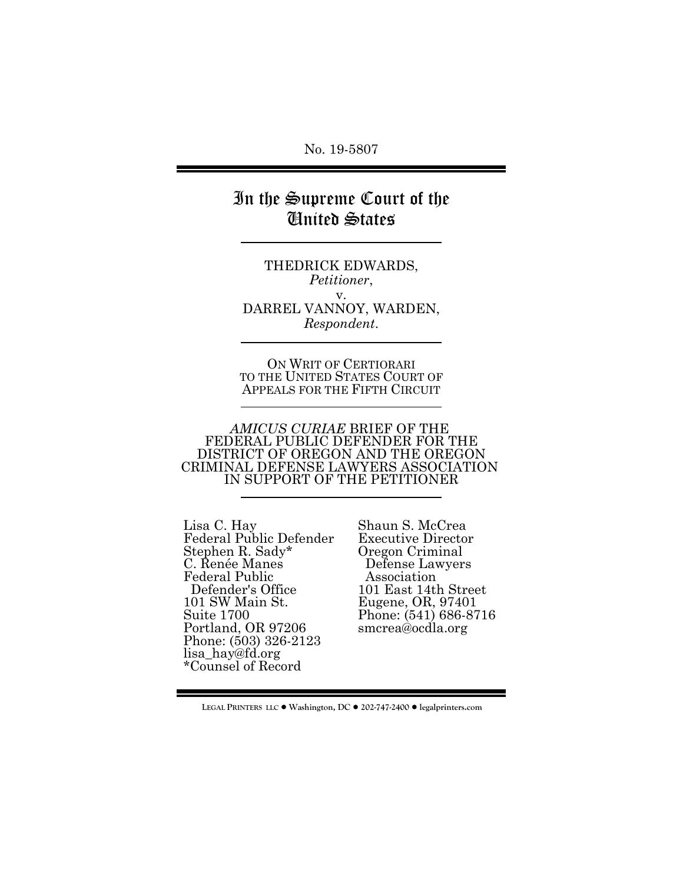No. 19-5807

# In the Supreme Court of the United States

THEDRICK EDWARDS, *Petitioner*, v. DARREL VANNOY, WARDEN, *Respondent*.

ON WRIT OF CERTIORARI TO THE UNITED STATES COURT OF APPEALS FOR THE FIFTH CIRCUIT

*AMICUS CURIAE* BRIEF OF THE FEDERAL PUBLIC DEFENDER FOR THE DISTRICT OF OREGON AND THE OREGON CRIMINAL DEFENSE LAWYERS ASSOCIATION IN SUPPORT OF THE PETITIONER

Lisa C. Hay Federal Public Defender Stephen R. Sady\* C. Renée Manes Federal Public Defender's Office 101 SW Main St. Suite 1700 Portland, OR 97206 Phone: (503) 326-2123 lisa\_hay@fd.org \*Counsel of Record

Shaun S. McCrea Executive Director Oregon Criminal Defense Lawyers Association 101 East 14th Street Eugene, OR, 97401 Phone: (541) 686-8716 smcrea@ocdla.org

LEGAL PRINTERS LLC ● Washington, DC ● 202-747-2400 ● legalprinters.com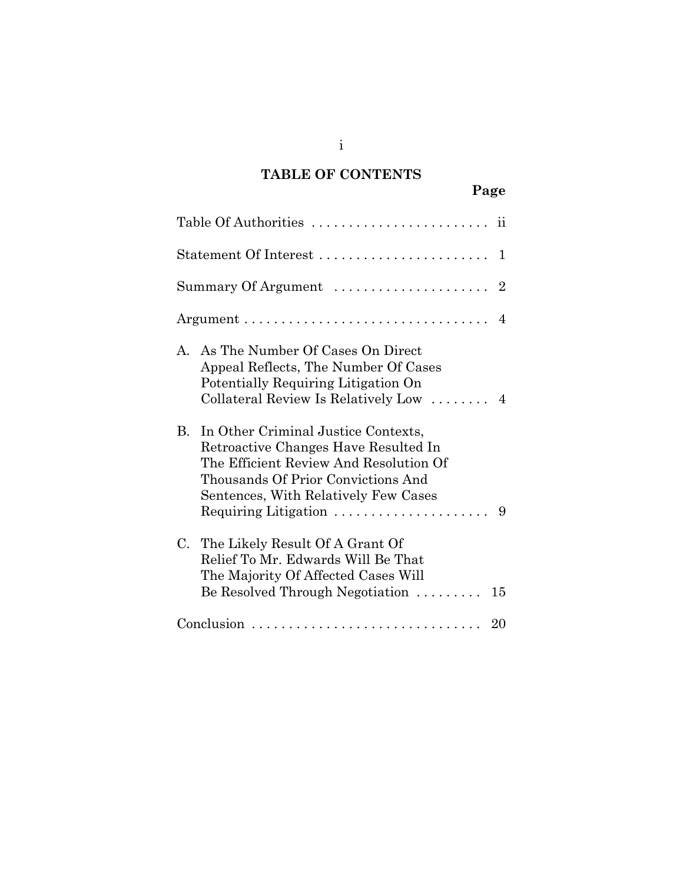# **TABLE OF CONTENTS**

| ٠<br>۰. |
|---------|
|---------|

| Statement Of Interest<br>1                                                                                                                                                                                                                                                         |
|------------------------------------------------------------------------------------------------------------------------------------------------------------------------------------------------------------------------------------------------------------------------------------|
| Summary Of Argument<br>2                                                                                                                                                                                                                                                           |
| $\overline{4}$                                                                                                                                                                                                                                                                     |
| A. As The Number Of Cases On Direct<br>Appeal Reflects, The Number Of Cases<br>Potentially Requiring Litigation On<br>Collateral Review Is Relatively Low<br>$\overline{4}$                                                                                                        |
| B.<br>In Other Criminal Justice Contexts,<br>Retroactive Changes Have Resulted In<br>The Efficient Review And Resolution Of<br>Thousands Of Prior Convictions And<br>Sentences, With Relatively Few Cases<br>Requiring Litigation $\ldots \ldots \ldots \ldots \ldots \ldots$<br>9 |
| C.<br>The Likely Result Of A Grant Of<br>Relief To Mr. Edwards Will Be That<br>The Majority Of Affected Cases Will<br>Be Resolved Through Negotiation $\ldots \ldots$<br>15                                                                                                        |
|                                                                                                                                                                                                                                                                                    |

i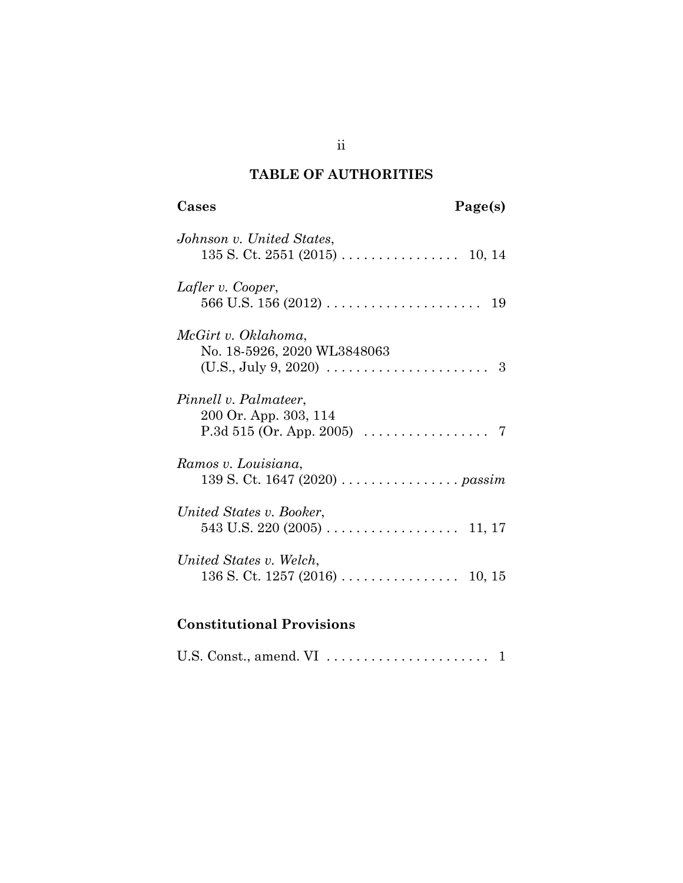# **TABLE OF AUTHORITIES**

# **Cases Page(s)**

| Johnson v. United States,                                                                                                   |
|-----------------------------------------------------------------------------------------------------------------------------|
| Lafler v. Cooper,<br>19                                                                                                     |
| McGirt v. Oklahoma,<br>No. 18-5926, 2020 WL3848063<br>$(U.S., July 9, 2020) \ldots \ldots \ldots \ldots \ldots \ldots$<br>3 |
| Pinnell v. Palmateer,<br>200 Or. App. 303, 114<br>P.3d 515 (Or. App. 2005) $\ldots \ldots \ldots \ldots \ldots$             |
| Ramos v. Louisiana,<br>139 S. Ct. 1647 (2020) <i>passim</i>                                                                 |
| United States v. Booker,<br>$543$ U.S. 220 (2005)<br>11, 17                                                                 |
| United States v. Welch,                                                                                                     |

# **Constitutional Provisions**

|--|--|--|

ii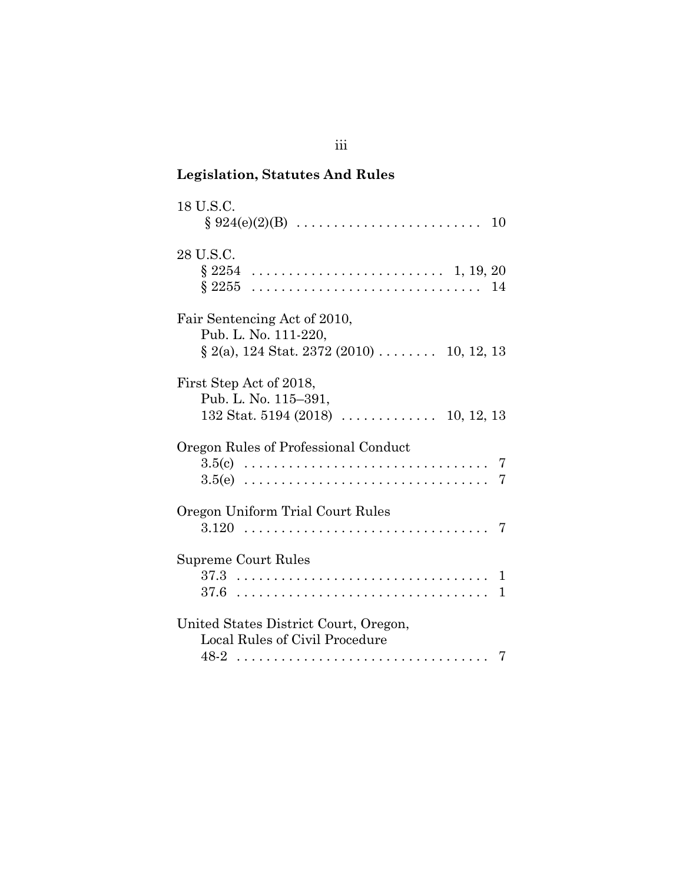# **Legislation, Statutes And Rules**

| 18 U.S.C.<br>$\S 924(e)(2)(B) \ldots \ldots \ldots \ldots \ldots \ldots \ldots$<br>10                |
|------------------------------------------------------------------------------------------------------|
| 28 U.S.C.<br>§2254<br>$\S~2255$<br>14                                                                |
| Fair Sentencing Act of 2010,<br>Pub. L. No. 111-220,<br>$\S$ 2(a), 124 Stat. 2372 (2010)  10, 12, 13 |
| First Step Act of 2018,<br>Pub. L. No. 115-391,<br>$132$ Stat. 5194 (2018)  10, 12, 13               |
| Oregon Rules of Professional Conduct<br>$3.5(c)$<br>7<br>$3.5(e)$<br>7                               |
| Oregon Uniform Trial Court Rules<br>$3.120$                                                          |
| <b>Supreme Court Rules</b><br>37.6<br>1                                                              |
| United States District Court, Oregon,<br>Local Rules of Civil Procedure<br>48-2                      |

iii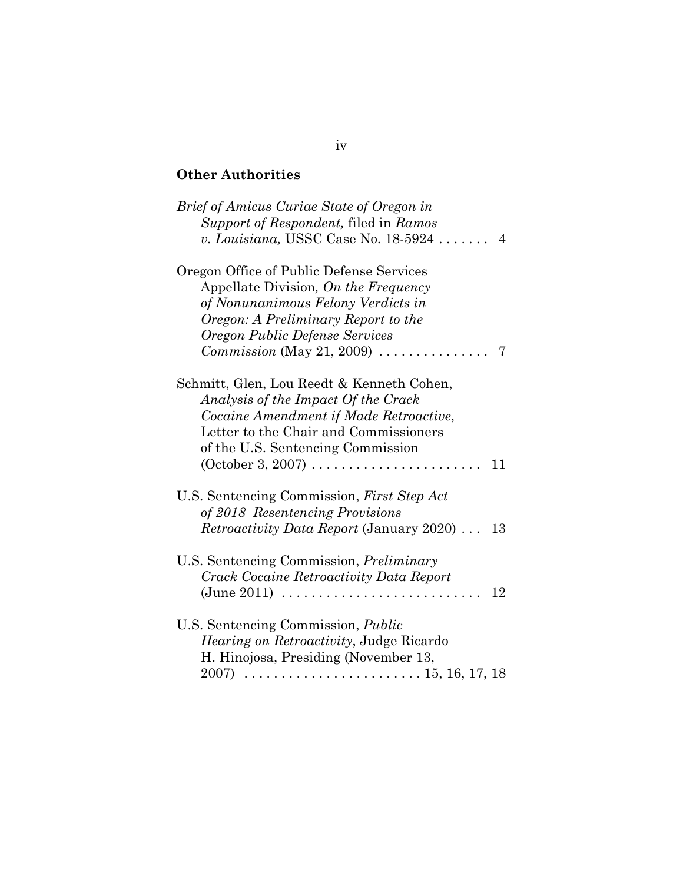# **Other Authorities**

| <i>Brief of Amicus Curiae State of Oregon in</i>                                                                                                                                                                                                                          |
|---------------------------------------------------------------------------------------------------------------------------------------------------------------------------------------------------------------------------------------------------------------------------|
| Support of Respondent, filed in Ramos                                                                                                                                                                                                                                     |
| v. Louisiana, USSC Case No. 18-5924<br>4                                                                                                                                                                                                                                  |
| Oregon Office of Public Defense Services<br>Appellate Division, On the Frequency<br>of Nonunanimous Felony Verdicts in<br>Oregon: A Preliminary Report to the<br>Oregon Public Defense Services<br>$Commission (May 21, 2009) \dots \dots \dots \dots$<br>7               |
| Schmitt, Glen, Lou Reedt & Kenneth Cohen,<br>Analysis of the Impact Of the Crack<br>Cocaine Amendment if Made Retroactive,<br>Letter to the Chair and Commissioners<br>of the U.S. Sentencing Commission<br>$(October 3, 2007) \dots \dots \dots \dots \dots \dots$<br>11 |
| U.S. Sentencing Commission, First Step Act<br>of 2018 Resentencing Provisions<br><i>Retroactivity Data Report (January 2020)</i><br>13                                                                                                                                    |
| U.S. Sentencing Commission, <i>Preliminary</i><br>Crack Cocaine Retroactivity Data Report<br>$(June 2011)$<br>12                                                                                                                                                          |
| U.S. Sentencing Commission, Public<br>Hearing on Retroactivity, Judge Ricardo<br>H. Hinojosa, Presiding (November 13,<br>2007)                                                                                                                                            |

## iv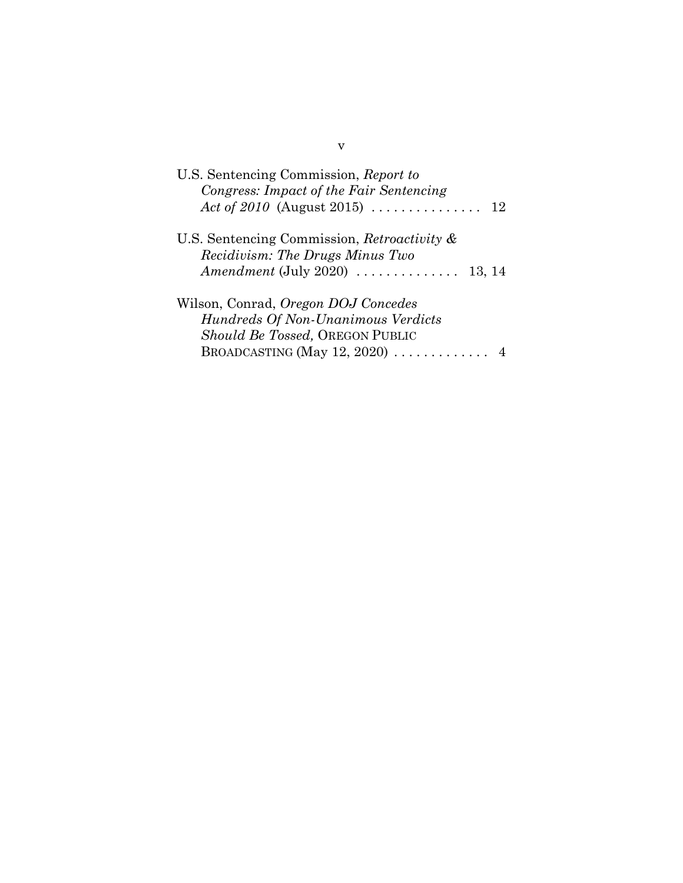| U.S. Sentencing Commission, Report to<br>Congress: Impact of the Fair Sentencing<br>Act of 2010 (August 2015)<br>12 |
|---------------------------------------------------------------------------------------------------------------------|
| U.S. Sentencing Commission, Retroactivity $\&$<br>Recidivism: The Drugs Minus Two                                   |
| $A$ mendment (July 2020) $\ldots \ldots \ldots \ldots$<br>13, 14                                                    |
| Wilson, Conrad, Oregon DOJ Concedes                                                                                 |
| Hundreds Of Non-Unanimous Verdicts                                                                                  |
| Should Be Tossed, OREGON PUBLIC                                                                                     |
| BROADCASTING (May 12, 2020) $\ldots \ldots \ldots$                                                                  |

v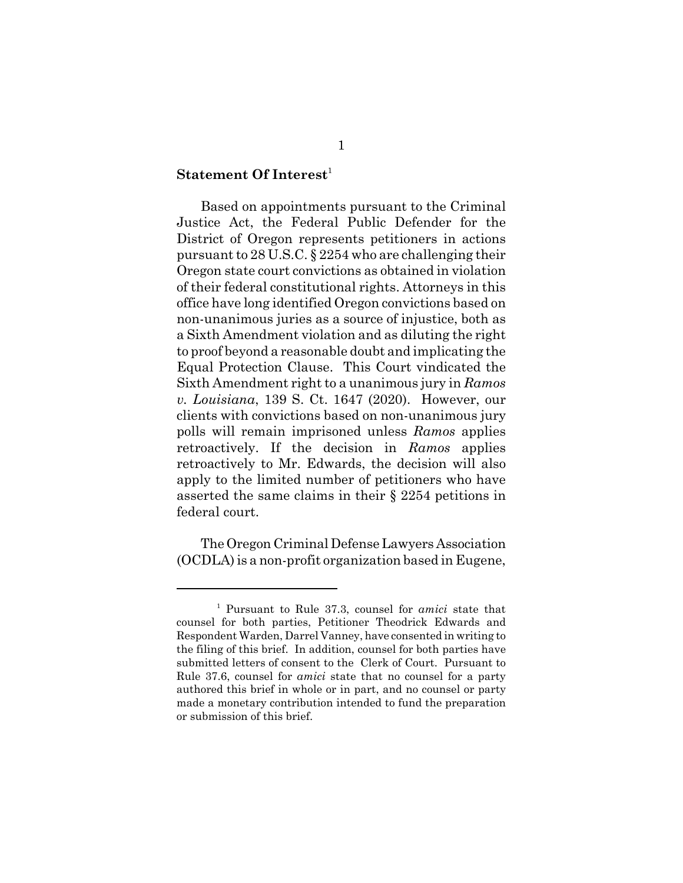#### **Statement Of Interest**<sup>1</sup>

Based on appointments pursuant to the Criminal Justice Act, the Federal Public Defender for the District of Oregon represents petitioners in actions pursuant to 28 U.S.C. § 2254 who are challenging their Oregon state court convictions as obtained in violation of their federal constitutional rights. Attorneys in this office have long identified Oregon convictions based on non-unanimous juries as a source of injustice, both as a Sixth Amendment violation and as diluting the right to proof beyond a reasonable doubt and implicating the Equal Protection Clause. This Court vindicated the Sixth Amendment right to a unanimous jury in *Ramos v. Louisiana*, 139 S. Ct. 1647 (2020). However, our clients with convictions based on non-unanimous jury polls will remain imprisoned unless *Ramos* applies retroactively. If the decision in *Ramos* applies retroactively to Mr. Edwards, the decision will also apply to the limited number of petitioners who have asserted the same claims in their § 2254 petitions in federal court.

The Oregon Criminal Defense Lawyers Association (OCDLA) is a non-profit organization based in Eugene,

<sup>1</sup> Pursuant to Rule 37.3, counsel for *amici* state that counsel for both parties, Petitioner Theodrick Edwards and Respondent Warden, Darrel Vanney, have consented in writing to the filing of this brief. In addition, counsel for both parties have submitted letters of consent to the Clerk of Court. Pursuant to Rule 37.6, counsel for *amici* state that no counsel for a party authored this brief in whole or in part, and no counsel or party made a monetary contribution intended to fund the preparation or submission of this brief.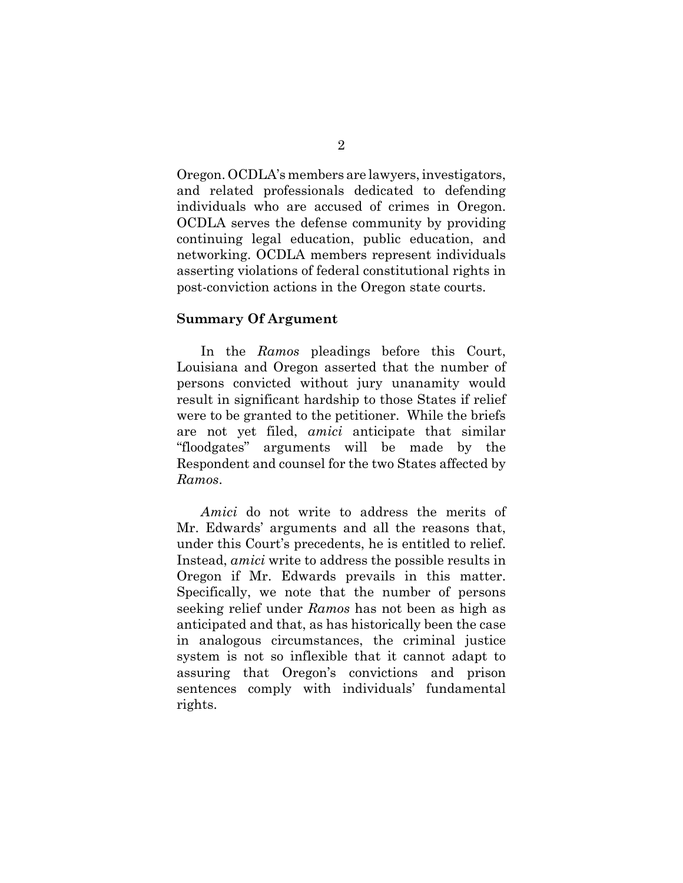Oregon. OCDLA's members are lawyers, investigators, and related professionals dedicated to defending individuals who are accused of crimes in Oregon. OCDLA serves the defense community by providing continuing legal education, public education, and networking. OCDLA members represent individuals asserting violations of federal constitutional rights in post-conviction actions in the Oregon state courts.

#### **Summary Of Argument**

In the *Ramos* pleadings before this Court, Louisiana and Oregon asserted that the number of persons convicted without jury unanamity would result in significant hardship to those States if relief were to be granted to the petitioner. While the briefs are not yet filed, *amici* anticipate that similar "floodgates" arguments will be made by the Respondent and counsel for the two States affected by *Ramos*.

*Amici* do not write to address the merits of Mr. Edwards' arguments and all the reasons that, under this Court's precedents, he is entitled to relief. Instead, *amici* write to address the possible results in Oregon if Mr. Edwards prevails in this matter. Specifically, we note that the number of persons seeking relief under *Ramos* has not been as high as anticipated and that, as has historically been the case in analogous circumstances, the criminal justice system is not so inflexible that it cannot adapt to assuring that Oregon's convictions and prison sentences comply with individuals' fundamental rights.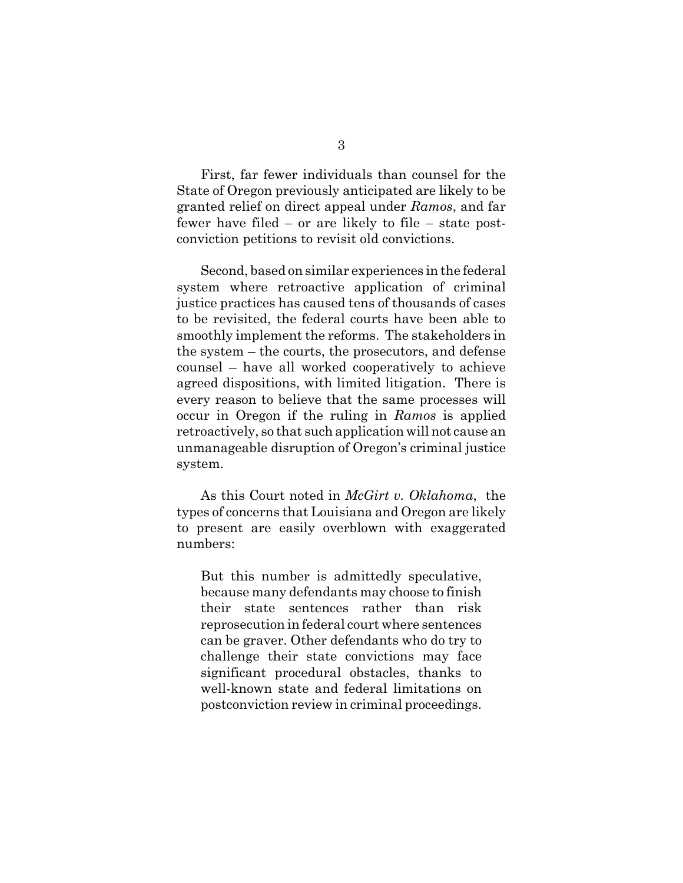First, far fewer individuals than counsel for the State of Oregon previously anticipated are likely to be granted relief on direct appeal under *Ramos*, and far fewer have filed – or are likely to file – state postconviction petitions to revisit old convictions.

Second, based on similar experiences in the federal system where retroactive application of criminal justice practices has caused tens of thousands of cases to be revisited, the federal courts have been able to smoothly implement the reforms. The stakeholders in the system – the courts, the prosecutors, and defense counsel – have all worked cooperatively to achieve agreed dispositions, with limited litigation. There is every reason to believe that the same processes will occur in Oregon if the ruling in *Ramos* is applied retroactively, so that such application will not cause an unmanageable disruption of Oregon's criminal justice system.

As this Court noted in *McGirt v. Oklahoma*, the types of concerns that Louisiana and Oregon are likely to present are easily overblown with exaggerated numbers:

But this number is admittedly speculative, because many defendants may choose to finish their state sentences rather than risk reprosecution in federal court where sentences can be graver. Other defendants who do try to challenge their state convictions may face significant procedural obstacles, thanks to well-known state and federal limitations on postconviction review in criminal proceedings.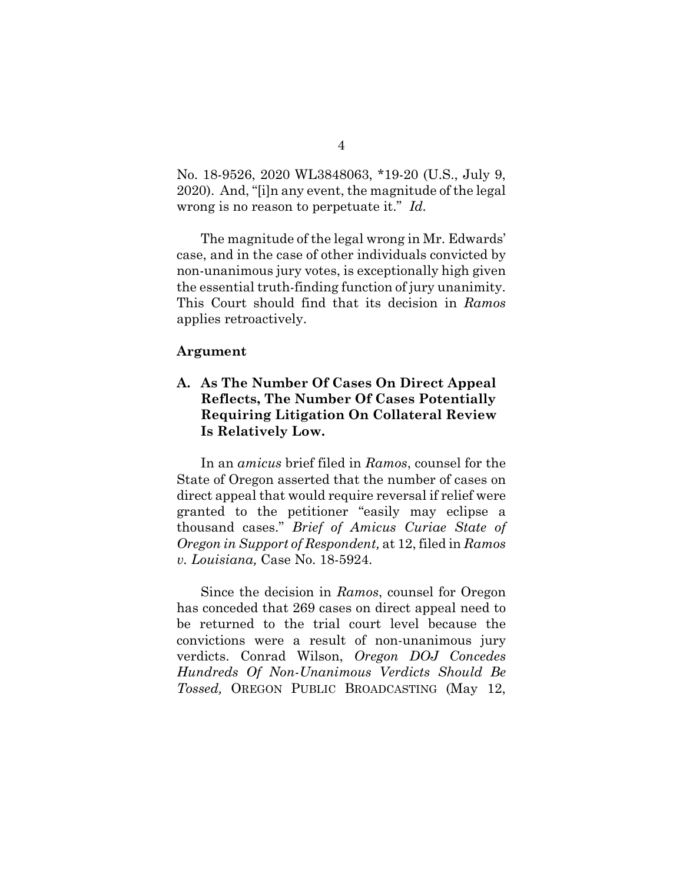No. 18-9526, 2020 WL3848063, \*19-20 (U.S., July 9, 2020). And, "[i]n any event, the magnitude of the legal wrong is no reason to perpetuate it." *Id.*

The magnitude of the legal wrong in Mr. Edwards' case, and in the case of other individuals convicted by non-unanimous jury votes, is exceptionally high given the essential truth-finding function of jury unanimity. This Court should find that its decision in *Ramos* applies retroactively.

#### **Argument**

## **A. As The Number Of Cases On Direct Appeal Reflects, The Number Of Cases Potentially Requiring Litigation On Collateral Review Is Relatively Low.**

In an *amicus* brief filed in *Ramos*, counsel for the State of Oregon asserted that the number of cases on direct appeal that would require reversal if relief were granted to the petitioner "easily may eclipse a thousand cases." *Brief of Amicus Curiae State of Oregon in Support of Respondent,* at 12, filed in *Ramos v. Louisiana,* Case No. 18-5924.

Since the decision in *Ramos*, counsel for Oregon has conceded that 269 cases on direct appeal need to be returned to the trial court level because the convictions were a result of non-unanimous jury verdicts. Conrad Wilson, *Oregon DOJ Concedes Hundreds Of Non-Unanimous Verdicts Should Be Tossed,* OREGON PUBLIC BROADCASTING (May 12,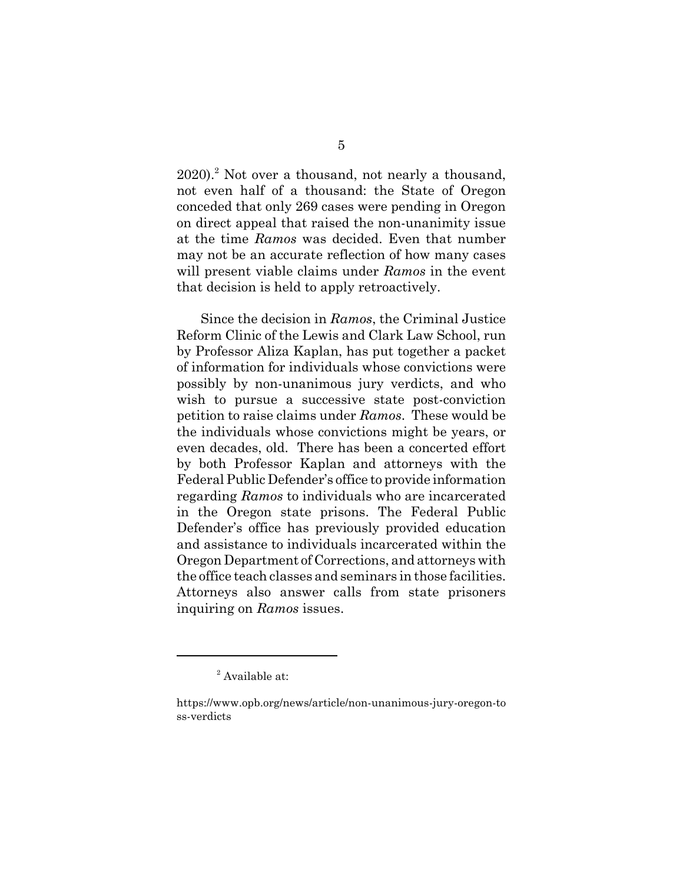2020).<sup>2</sup> Not over a thousand, not nearly a thousand, not even half of a thousand: the State of Oregon conceded that only 269 cases were pending in Oregon on direct appeal that raised the non-unanimity issue at the time *Ramos* was decided. Even that number may not be an accurate reflection of how many cases will present viable claims under *Ramos* in the event that decision is held to apply retroactively.

Since the decision in *Ramos*, the Criminal Justice Reform Clinic of the Lewis and Clark Law School, run by Professor Aliza Kaplan, has put together a packet of information for individuals whose convictions were possibly by non-unanimous jury verdicts, and who wish to pursue a successive state post-conviction petition to raise claims under *Ramos*. These would be the individuals whose convictions might be years, or even decades, old. There has been a concerted effort by both Professor Kaplan and attorneys with the Federal Public Defender's office to provide information regarding *Ramos* to individuals who are incarcerated in the Oregon state prisons. The Federal Public Defender's office has previously provided education and assistance to individuals incarcerated within the Oregon Department of Corrections, and attorneys with the office teach classes and seminars in those facilities. Attorneys also answer calls from state prisoners inquiring on *Ramos* issues.

<sup>&</sup>lt;sup>2</sup> Available at:

https://www.opb.org/news/article/non-unanimous-jury-oregon-to ss-verdicts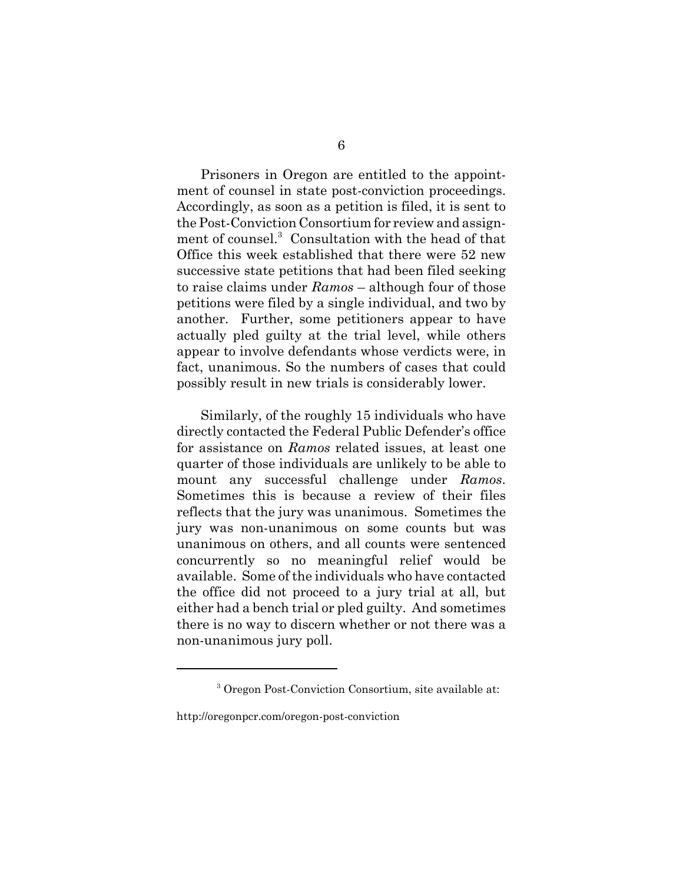Prisoners in Oregon are entitled to the appointment of counsel in state post-conviction proceedings. Accordingly, as soon as a petition is filed, it is sent to the Post-Conviction Consortium for review and assignment of counsel.<sup>3</sup> Consultation with the head of that Office this week established that there were 52 new successive state petitions that had been filed seeking to raise claims under *Ramos* – although four of those petitions were filed by a single individual, and two by another. Further, some petitioners appear to have actually pled guilty at the trial level, while others appear to involve defendants whose verdicts were, in fact, unanimous. So the numbers of cases that could possibly result in new trials is considerably lower.

Similarly, of the roughly 15 individuals who have directly contacted the Federal Public Defender's office for assistance on *Ramos* related issues, at least one quarter of those individuals are unlikely to be able to mount any successful challenge under *Ramos*. Sometimes this is because a review of their files reflects that the jury was unanimous. Sometimes the jury was non-unanimous on some counts but was unanimous on others, and all counts were sentenced concurrently so no meaningful relief would be available. Some of the individuals who have contacted the office did not proceed to a jury trial at all, but either had a bench trial or pled guilty. And sometimes there is no way to discern whether or not there was a non-unanimous jury poll.

<sup>3</sup> Oregon Post-Conviction Consortium, site available at:

http://oregonpcr.com/oregon-post-conviction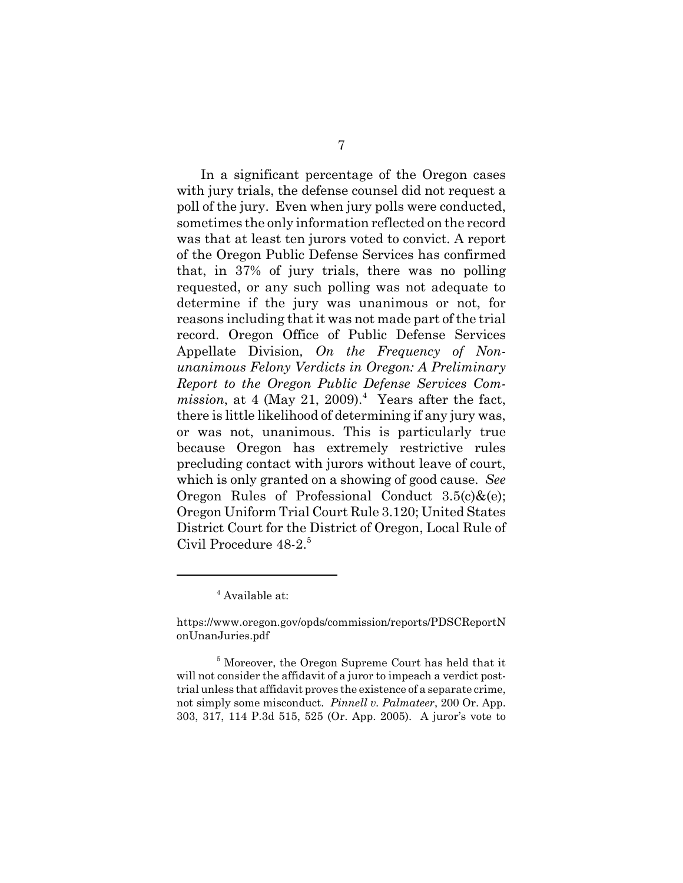In a significant percentage of the Oregon cases with jury trials, the defense counsel did not request a poll of the jury. Even when jury polls were conducted, sometimes the only information reflected on the record was that at least ten jurors voted to convict. A report of the Oregon Public Defense Services has confirmed that, in 37% of jury trials, there was no polling requested, or any such polling was not adequate to determine if the jury was unanimous or not, for reasons including that it was not made part of the trial record. Oregon Office of Public Defense Services Appellate Division*, On the Frequency of Nonunanimous Felony Verdicts in Oregon: A Preliminary Report to the Oregon Public Defense Services Com* $mission$ , at 4 (May 21, 2009).<sup>4</sup> Years after the fact, there is little likelihood of determining if any jury was, or was not, unanimous. This is particularly true because Oregon has extremely restrictive rules precluding contact with jurors without leave of court, which is only granted on a showing of good cause. *See* Oregon Rules of Professional Conduct  $3.5(c)$ & $(e)$ ; Oregon Uniform Trial Court Rule 3.120; United States District Court for the District of Oregon, Local Rule of Civil Procedure 48-2.<sup>5</sup>

4 Available at:

5 Moreover, the Oregon Supreme Court has held that it will not consider the affidavit of a juror to impeach a verdict posttrial unless that affidavit proves the existence of a separate crime, not simply some misconduct*. Pinnell v. Palmateer*, 200 Or. App. 303, 317, 114 P.3d 515, 525 (Or. App. 2005). A juror's vote to

https://www.oregon.gov/opds/commission/reports/PDSCReportN onUnanJuries.pdf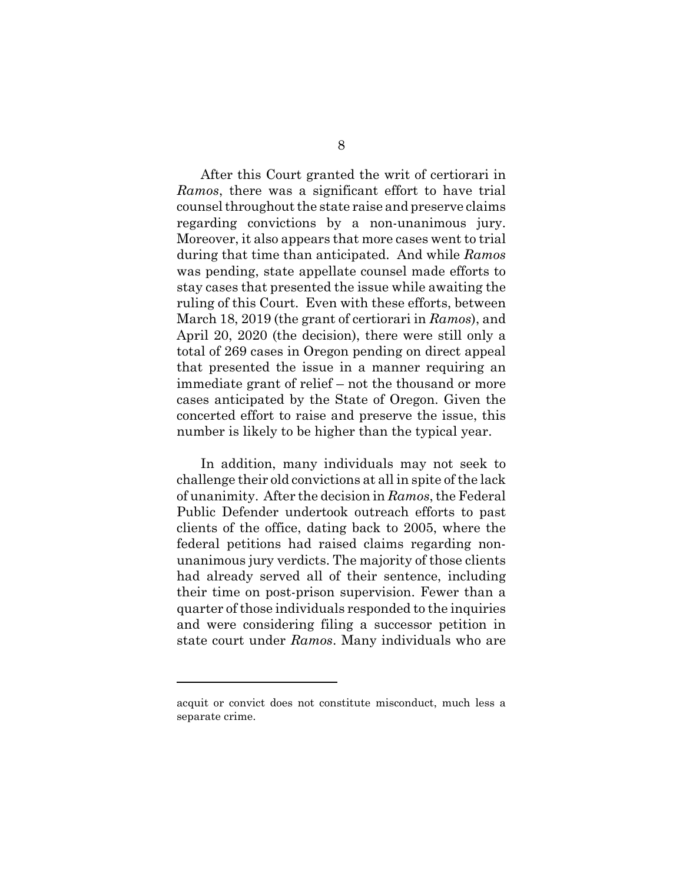After this Court granted the writ of certiorari in *Ramos*, there was a significant effort to have trial counsel throughout the state raise and preserve claims regarding convictions by a non-unanimous jury. Moreover, it also appears that more cases went to trial during that time than anticipated. And while *Ramos* was pending, state appellate counsel made efforts to stay cases that presented the issue while awaiting the ruling of this Court. Even with these efforts, between March 18, 2019 (the grant of certiorari in *Ramos*), and April 20, 2020 (the decision), there were still only a total of 269 cases in Oregon pending on direct appeal that presented the issue in a manner requiring an immediate grant of relief – not the thousand or more cases anticipated by the State of Oregon. Given the concerted effort to raise and preserve the issue, this number is likely to be higher than the typical year.

In addition, many individuals may not seek to challenge their old convictions at all in spite of the lack of unanimity. After the decision in *Ramos*, the Federal Public Defender undertook outreach efforts to past clients of the office, dating back to 2005, where the federal petitions had raised claims regarding nonunanimous jury verdicts. The majority of those clients had already served all of their sentence, including their time on post-prison supervision. Fewer than a quarter of those individuals responded to the inquiries and were considering filing a successor petition in state court under *Ramos*. Many individuals who are

acquit or convict does not constitute misconduct, much less a separate crime.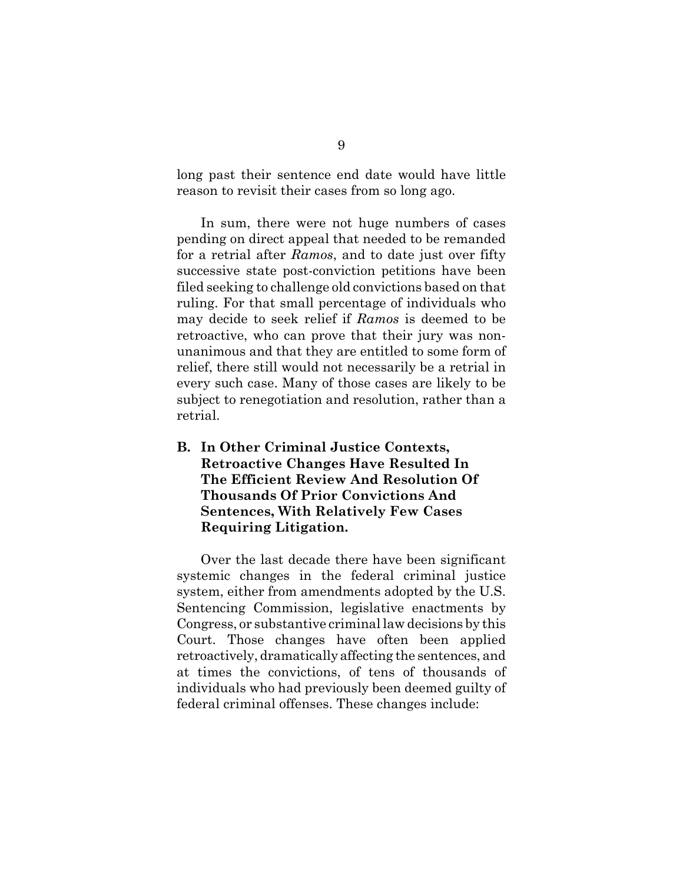long past their sentence end date would have little reason to revisit their cases from so long ago.

In sum, there were not huge numbers of cases pending on direct appeal that needed to be remanded for a retrial after *Ramos*, and to date just over fifty successive state post-conviction petitions have been filed seeking to challenge old convictions based on that ruling. For that small percentage of individuals who may decide to seek relief if *Ramos* is deemed to be retroactive, who can prove that their jury was nonunanimous and that they are entitled to some form of relief, there still would not necessarily be a retrial in every such case. Many of those cases are likely to be subject to renegotiation and resolution, rather than a retrial.

**B. In Other Criminal Justice Contexts, Retroactive Changes Have Resulted In The Efficient Review And Resolution Of Thousands Of Prior Convictions And Sentences, With Relatively Few Cases Requiring Litigation.**

Over the last decade there have been significant systemic changes in the federal criminal justice system, either from amendments adopted by the U.S. Sentencing Commission, legislative enactments by Congress, or substantive criminal law decisions by this Court. Those changes have often been applied retroactively, dramatically affecting the sentences, and at times the convictions, of tens of thousands of individuals who had previously been deemed guilty of federal criminal offenses. These changes include: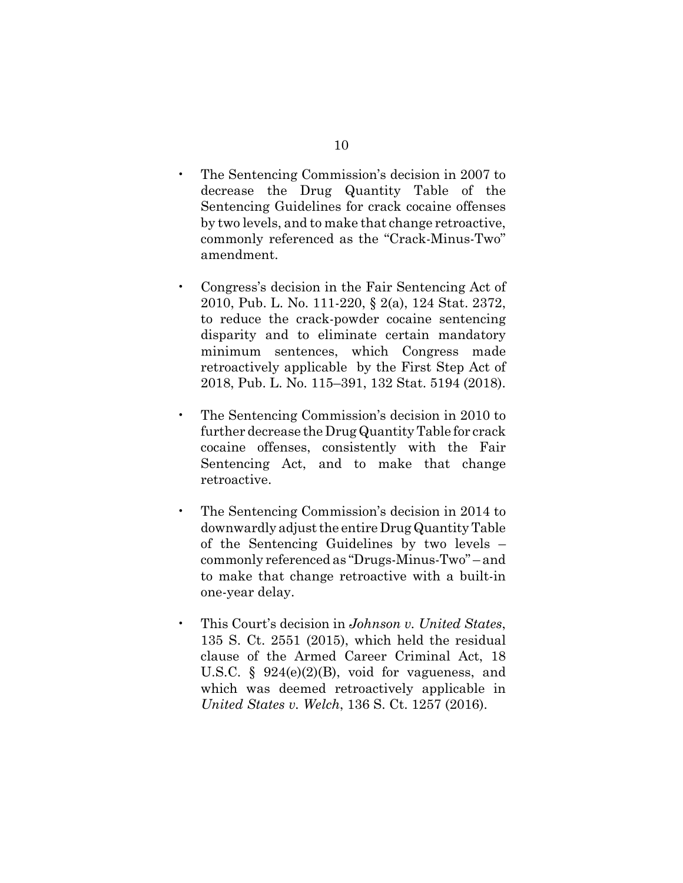- The Sentencing Commission's decision in 2007 to decrease the Drug Quantity Table of the Sentencing Guidelines for crack cocaine offenses by two levels, and to make that change retroactive, commonly referenced as the "Crack-Minus-Two" amendment.
- Congress's decision in the Fair Sentencing Act of 2010, Pub. L. No. 111-220, § 2(a), 124 Stat. 2372, to reduce the crack-powder cocaine sentencing disparity and to eliminate certain mandatory minimum sentences, which Congress made retroactively applicable by the First Step Act of 2018, Pub. L. No. 115–391, 132 Stat. 5194 (2018).
- The Sentencing Commission's decision in 2010 to further decrease the Drug Quantity Table for crack cocaine offenses, consistently with the Fair Sentencing Act, and to make that change retroactive.
- The Sentencing Commission's decision in 2014 to downwardly adjust the entire Drug Quantity Table of the Sentencing Guidelines by two levels – commonly referenced as "Drugs-Minus-Two" – and to make that change retroactive with a built-in one-year delay.
- This Court's decision in *Johnson v. United States*, 135 S. Ct. 2551 (2015), which held the residual clause of the Armed Career Criminal Act, 18 U.S.C. § 924(e)(2)(B), void for vagueness, and which was deemed retroactively applicable in *United States v. Welch*, 136 S. Ct. 1257 (2016).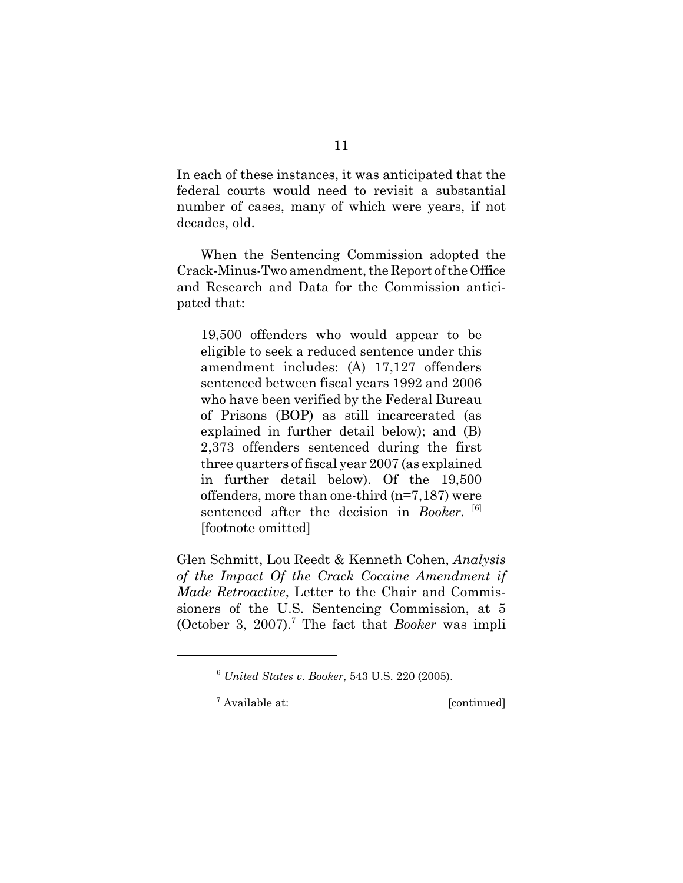In each of these instances, it was anticipated that the federal courts would need to revisit a substantial number of cases, many of which were years, if not decades, old.

When the Sentencing Commission adopted the Crack-Minus-Two amendment, the Report of the Office and Research and Data for the Commission anticipated that:

19,500 offenders who would appear to be eligible to seek a reduced sentence under this amendment includes: (A) 17,127 offenders sentenced between fiscal years 1992 and 2006 who have been verified by the Federal Bureau of Prisons (BOP) as still incarcerated (as explained in further detail below); and (B) 2,373 offenders sentenced during the first three quarters of fiscal year 2007 (as explained in further detail below). Of the 19,500 offenders, more than one-third (n=7,187) were sentenced after the decision in *Booker*. <sup>[6]</sup> [footnote omitted]

Glen Schmitt, Lou Reedt & Kenneth Cohen, *Analysis of the Impact Of the Crack Cocaine Amendment if Made Retroactive*, Letter to the Chair and Commissioners of the U.S. Sentencing Commission, at 5 (October 3, 2007).<sup>7</sup> The fact that *Booker* was impli

<sup>7</sup> Available at: [continued]

<sup>6</sup> *United States v. Booker*, 543 U.S. 220 (2005).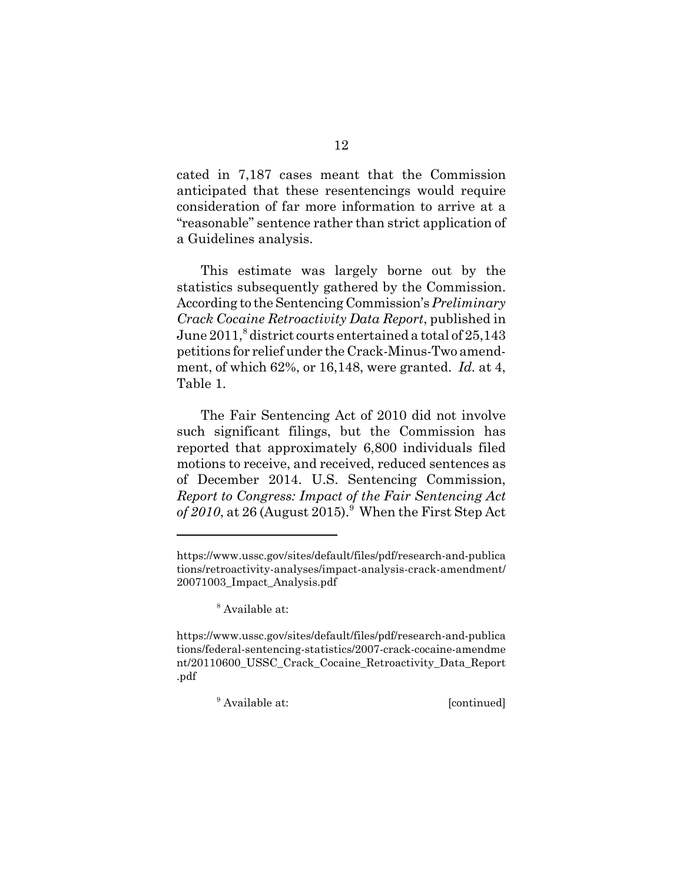cated in 7,187 cases meant that the Commission anticipated that these resentencings would require consideration of far more information to arrive at a "reasonable" sentence rather than strict application of a Guidelines analysis.

This estimate was largely borne out by the statistics subsequently gathered by the Commission. According to the Sentencing Commission's *Preliminary Crack Cocaine Retroactivity Data Report*, published in June  $2011$ ,  $^8$  district courts entertained a total of  $25,143$ petitions for relief under the Crack-Minus-Two amendment, of which 62%, or 16,148, were granted. *Id.* at 4, Table 1.

The Fair Sentencing Act of 2010 did not involve such significant filings, but the Commission has reported that approximately 6,800 individuals filed motions to receive, and received, reduced sentences as of December 2014. U.S. Sentencing Commission, *Report to Congress: Impact of the Fair Sentencing Act* of 2010, at 26 (August 2015).<sup>9</sup> When the First Step Act

<sup>9</sup> Available at: [continued]

https://www.ussc.gov/sites/default/files/pdf/research-and-publica tions/retroactivity-analyses/impact-analysis-crack-amendment/ 20071003\_Impact\_Analysis.pdf

<sup>8</sup> Available at:

https://www.ussc.gov/sites/default/files/pdf/research-and-publica tions/federal-sentencing-statistics/2007-crack-cocaine-amendme nt/20110600\_USSC\_Crack\_Cocaine\_Retroactivity\_Data\_Report .pdf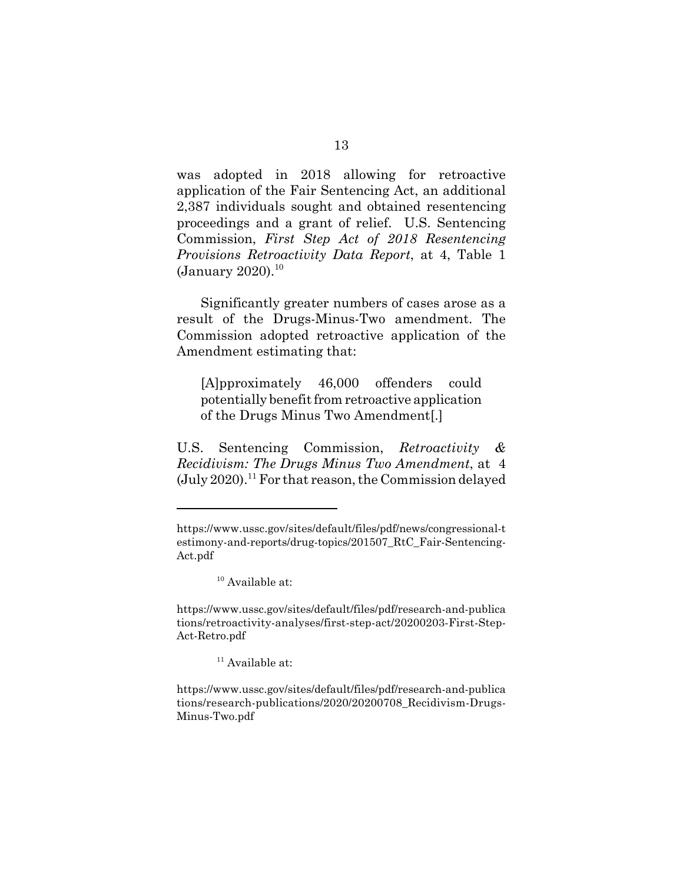was adopted in 2018 allowing for retroactive application of the Fair Sentencing Act, an additional 2,387 individuals sought and obtained resentencing proceedings and a grant of relief. U.S. Sentencing Commission, *First Step Act of 2018 Resentencing Provisions Retroactivity Data Report*, at 4, Table 1 (January 2020). $^{10}$ 

Significantly greater numbers of cases arose as a result of the Drugs-Minus-Two amendment. The Commission adopted retroactive application of the Amendment estimating that:

[A]pproximately 46,000 offenders could potentially benefit from retroactive application of the Drugs Minus Two Amendment[.]

U.S. Sentencing Commission, *Retroactivity & Recidivism: The Drugs Minus Two Amendment*, at 4  $(July 2020).<sup>11</sup> For that reason, the Commission delayed$ 

https://www.ussc.gov/sites/default/files/pdf/news/congressional-t estimony-and-reports/drug-topics/201507\_RtC\_Fair-Sentencing-Act.pdf

 $10$  Available at:

https://www.ussc.gov/sites/default/files/pdf/research-and-publica tions/retroactivity-analyses/first-step-act/20200203-First-Step-Act-Retro.pdf

 $11$  Available at:

https://www.ussc.gov/sites/default/files/pdf/research-and-publica tions/research-publications/2020/20200708\_Recidivism-Drugs-Minus-Two.pdf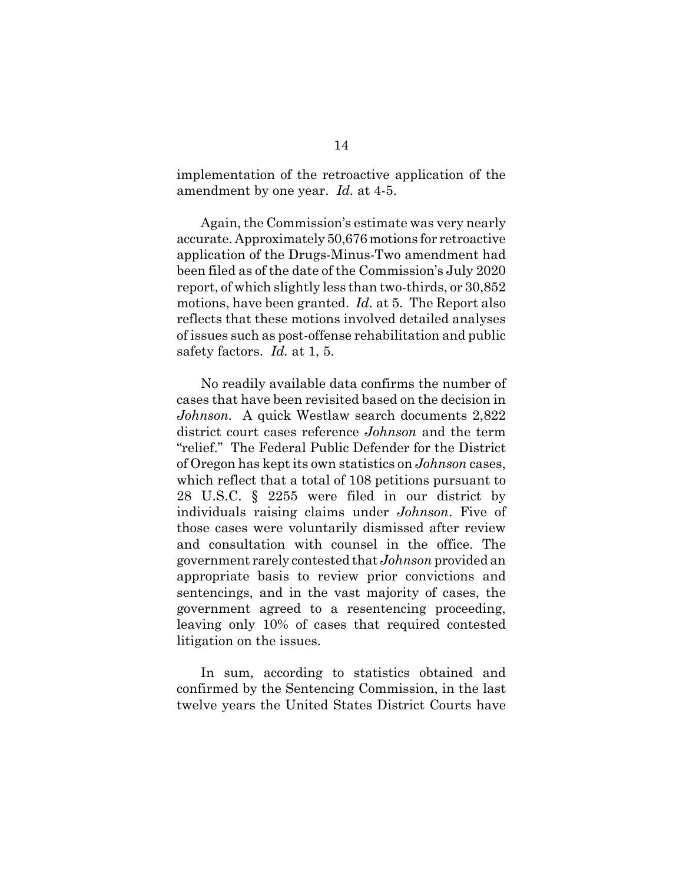implementation of the retroactive application of the amendment by one year. *Id.* at 4-5.

Again, the Commission's estimate was very nearly accurate. Approximately 50,676 motions for retroactive application of the Drugs-Minus-Two amendment had been filed as of the date of the Commission's July 2020 report, of which slightly less than two-thirds, or 30,852 motions, have been granted. *Id.* at 5. The Report also reflects that these motions involved detailed analyses of issues such as post-offense rehabilitation and public safety factors. *Id.* at 1, 5.

No readily available data confirms the number of cases that have been revisited based on the decision in *Johnson.* A quick Westlaw search documents 2,822 district court cases reference *Johnson* and the term "relief." The Federal Public Defender for the District of Oregon has kept its own statistics on *Johnson* cases, which reflect that a total of 108 petitions pursuant to 28 U.S.C. § 2255 were filed in our district by individuals raising claims under *Johnson*. Five of those cases were voluntarily dismissed after review and consultation with counsel in the office. The government rarely contested that *Johnson* provided an appropriate basis to review prior convictions and sentencings, and in the vast majority of cases, the government agreed to a resentencing proceeding, leaving only 10% of cases that required contested litigation on the issues.

In sum, according to statistics obtained and confirmed by the Sentencing Commission, in the last twelve years the United States District Courts have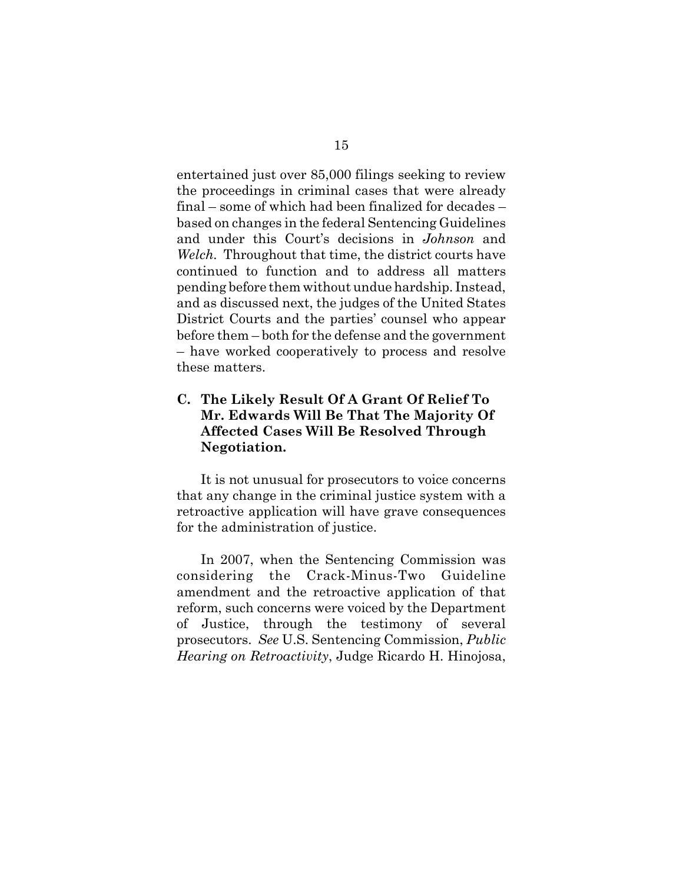entertained just over 85,000 filings seeking to review the proceedings in criminal cases that were already final – some of which had been finalized for decades – based on changes in the federal Sentencing Guidelines and under this Court's decisions in *Johnson* and *Welch.* Throughout that time, the district courts have continued to function and to address all matters pending before them without undue hardship. Instead, and as discussed next, the judges of the United States District Courts and the parties' counsel who appear before them – both for the defense and the government – have worked cooperatively to process and resolve these matters.

## **C. The Likely Result Of A Grant Of Relief To Mr. Edwards Will Be That The Majority Of Affected Cases Will Be Resolved Through Negotiation.**

It is not unusual for prosecutors to voice concerns that any change in the criminal justice system with a retroactive application will have grave consequences for the administration of justice.

In 2007, when the Sentencing Commission was considering the Crack-Minus-Two Guideline amendment and the retroactive application of that reform, such concerns were voiced by the Department of Justice, through the testimony of several prosecutors. *See* U.S. Sentencing Commission, *Public Hearing on Retroactivity*, Judge Ricardo H. Hinojosa,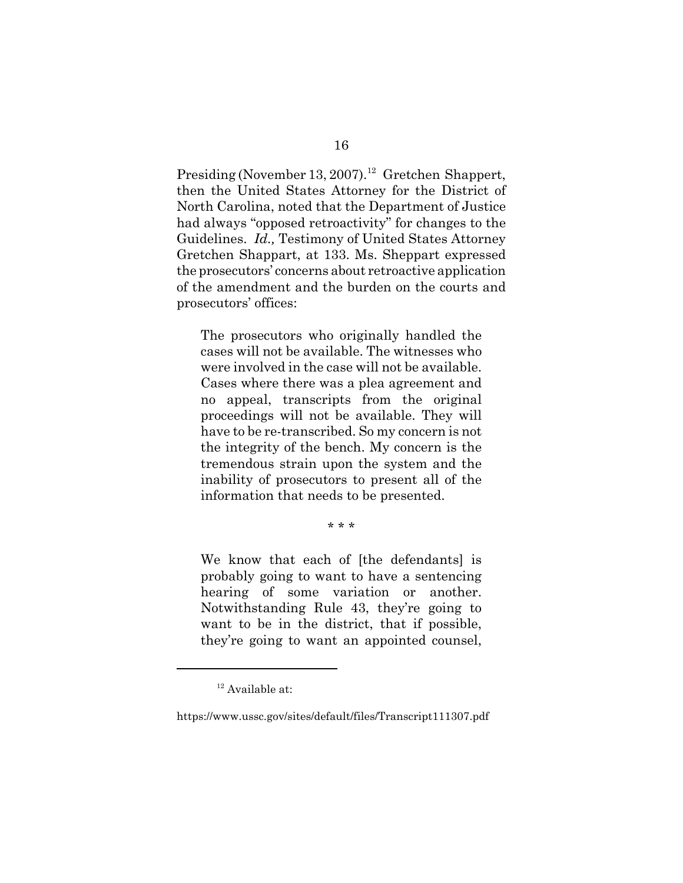Presiding (November 13, 2007).<sup>12</sup> Gretchen Shappert, then the United States Attorney for the District of North Carolina, noted that the Department of Justice had always "opposed retroactivity" for changes to the Guidelines. *Id.,* Testimony of United States Attorney Gretchen Shappart, at 133. Ms. Sheppart expressed the prosecutors' concerns about retroactive application of the amendment and the burden on the courts and prosecutors' offices:

The prosecutors who originally handled the cases will not be available. The witnesses who were involved in the case will not be available. Cases where there was a plea agreement and no appeal, transcripts from the original proceedings will not be available. They will have to be re-transcribed. So my concern is not the integrity of the bench. My concern is the tremendous strain upon the system and the inability of prosecutors to present all of the information that needs to be presented.

\* \* \*

We know that each of [the defendants] is probably going to want to have a sentencing hearing of some variation or another. Notwithstanding Rule 43, they're going to want to be in the district, that if possible, they're going to want an appointed counsel,

 $12$  Available at:

https://www.ussc.gov/sites/default/files/Transcript111307.pdf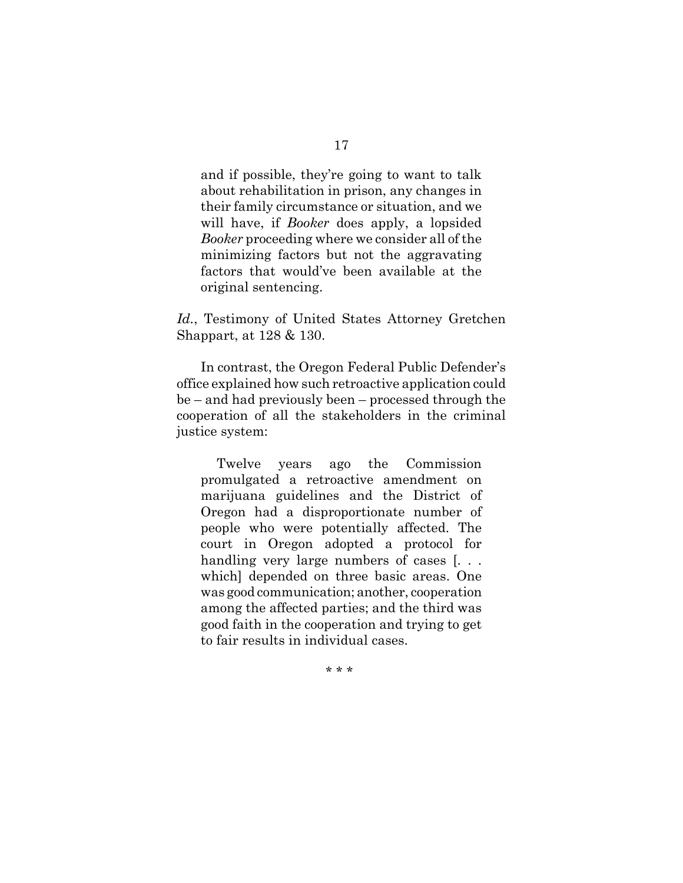and if possible, they're going to want to talk about rehabilitation in prison, any changes in their family circumstance or situation, and we will have, if *Booker* does apply, a lopsided *Booker* proceeding where we consider all of the minimizing factors but not the aggravating factors that would've been available at the original sentencing.

*Id.*, Testimony of United States Attorney Gretchen Shappart, at 128 & 130.

In contrast, the Oregon Federal Public Defender's office explained how such retroactive application could be – and had previously been – processed through the cooperation of all the stakeholders in the criminal justice system:

Twelve years ago the Commission promulgated a retroactive amendment on marijuana guidelines and the District of Oregon had a disproportionate number of people who were potentially affected. The court in Oregon adopted a protocol for handling very large numbers of cases [... which] depended on three basic areas. One was good communication; another, cooperation among the affected parties; and the third was good faith in the cooperation and trying to get to fair results in individual cases.

\* \* \*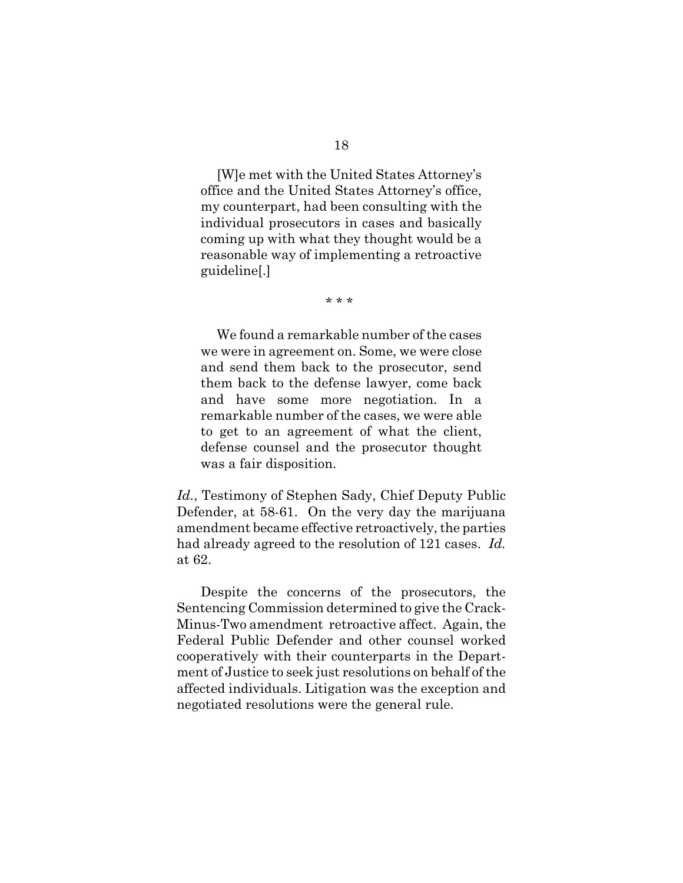[W]e met with the United States Attorney's office and the United States Attorney's office, my counterpart, had been consulting with the individual prosecutors in cases and basically coming up with what they thought would be a reasonable way of implementing a retroactive guideline[.]

\* \* \*

We found a remarkable number of the cases we were in agreement on. Some, we were close and send them back to the prosecutor, send them back to the defense lawyer, come back and have some more negotiation. In a remarkable number of the cases, we were able to get to an agreement of what the client, defense counsel and the prosecutor thought was a fair disposition.

*Id.*, Testimony of Stephen Sady, Chief Deputy Public Defender, at 58-61. On the very day the marijuana amendment became effective retroactively, the parties had already agreed to the resolution of 121 cases. *Id.* at 62.

Despite the concerns of the prosecutors, the Sentencing Commission determined to give the Crack-Minus-Two amendment retroactive affect. Again, the Federal Public Defender and other counsel worked cooperatively with their counterparts in the Department of Justice to seek just resolutions on behalf of the affected individuals. Litigation was the exception and negotiated resolutions were the general rule.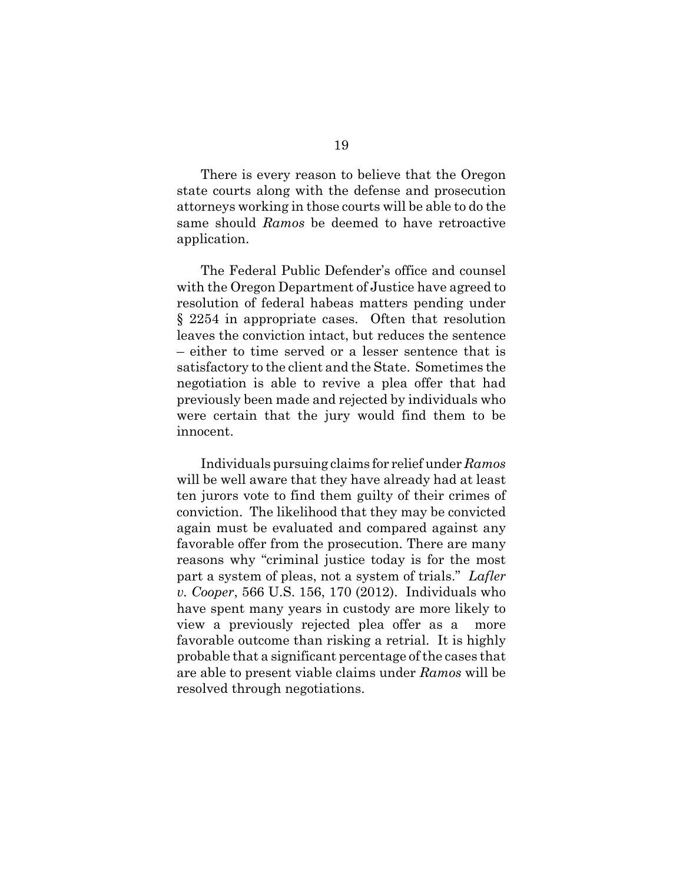There is every reason to believe that the Oregon state courts along with the defense and prosecution attorneys working in those courts will be able to do the same should *Ramos* be deemed to have retroactive application.

The Federal Public Defender's office and counsel with the Oregon Department of Justice have agreed to resolution of federal habeas matters pending under § 2254 in appropriate cases. Often that resolution leaves the conviction intact, but reduces the sentence – either to time served or a lesser sentence that is satisfactory to the client and the State. Sometimes the negotiation is able to revive a plea offer that had previously been made and rejected by individuals who were certain that the jury would find them to be innocent.

Individuals pursuing claims for relief under *Ramos* will be well aware that they have already had at least ten jurors vote to find them guilty of their crimes of conviction. The likelihood that they may be convicted again must be evaluated and compared against any favorable offer from the prosecution. There are many reasons why "criminal justice today is for the most part a system of pleas, not a system of trials." *Lafler v. Cooper*, 566 U.S. 156, 170 (2012). Individuals who have spent many years in custody are more likely to view a previously rejected plea offer as a more favorable outcome than risking a retrial. It is highly probable that a significant percentage of the cases that are able to present viable claims under *Ramos* will be resolved through negotiations.